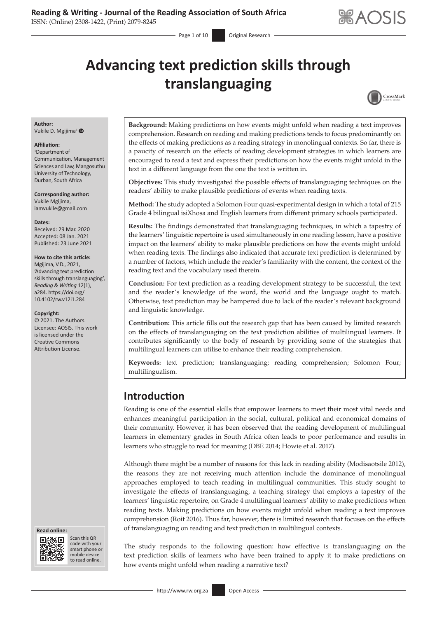$-$  Page 1 of 10 Original Research

# **Advancing text prediction skills through translanguaging**



#### **Author:** Vukile D. Mgijima<sup>1</sup> O

**Affiliation:**

#### 1 Department of

Communication, Management Sciences and Law, Mangosuthu University of Technology, Durban, South Africa

**Corresponding author:** Vukile Mgijima, [iamvukile@gmail.com](mailto:iamvukile@gmail.com)

#### **Dates:**

Received: 29 Mar. 2020 Accepted: 08 Jan. 2021 Published: 23 June 2021

#### **How to cite this article:**

Mgijima, V.D., 2021, 'Advancing text prediction skills through translanguaging', *Reading & Writing* 12(1), a284. [https://doi.org/](https://doi.org/10.4102/rw.v12i1.284) [10.4102/rw.v12i1.284](https://doi.org/10.4102/rw.v12i1.284)

#### **Copyright:**

© 2021. The Authors. Licensee: AOSIS. This work is licensed under the Creative Commons Attribution License.





Scan this QR code with your Scan this QR<br>code with your<br>smart phone or<br>mobile device mobile device to read online. to read online.

**Background:** Making predictions on how events might unfold when reading a text improves comprehension. Research on reading and making predictions tends to focus predominantly on the effects of making predictions as a reading strategy in monolingual contexts. So far, there is a paucity of research on the effects of reading development strategies in which learners are encouraged to read a text and express their predictions on how the events might unfold in the text in a different language from the one the text is written in.

**Objectives:** This study investigated the possible effects of translanguaging techniques on the readers' ability to make plausible predictions of events when reading texts.

**Method:** The study adopted a Solomon Four quasi-experimental design in which a total of 215 Grade 4 bilingual isiXhosa and English learners from different primary schools participated.

**Results:** The findings demonstrated that translanguaging techniques, in which a tapestry of the learners' linguistic repertoire is used simultaneously in one reading lesson, have a positive impact on the learners' ability to make plausible predictions on how the events might unfold when reading texts. The findings also indicated that accurate text prediction is determined by a number of factors, which include the reader's familiarity with the content, the context of the reading text and the vocabulary used therein.

**Conclusion:** For text prediction as a reading development strategy to be successful, the text and the reader's knowledge of the word, the world and the language ought to match. Otherwise, text prediction may be hampered due to lack of the reader's relevant background and linguistic knowledge.

**Contribution:** This article fills out the research gap that has been caused by limited research on the effects of translanguaging on the text prediction abilities of multilingual learners. It contributes significantly to the body of research by providing some of the strategies that multilingual learners can utilise to enhance their reading comprehension.

**Keywords:** text prediction; translanguaging; reading comprehension; Solomon Four; multilingualism.

# **Introduction**

Reading is one of the essential skills that empower learners to meet their most vital needs and enhances meaningful participation in the social, cultural, political and economical domains of their community. However, it has been observed that the reading development of multilingual learners in elementary grades in South Africa often leads to poor performance and results in learners who struggle to read for meaning (DBE 2014; Howie et al. 2017).

Although there might be a number of reasons for this lack in reading ability (Modisaotsile 2012), the reasons they are not receiving much attention include the dominance of monolingual approaches employed to teach reading in multilingual communities. This study sought to investigate the effects of translanguaging, a teaching strategy that employs a tapestry of the learners' linguistic repertoire, on Grade 4 multilingual learners' ability to make predictions when reading texts. Making predictions on how events might unfold when reading a text improves comprehension (Roit 2016). Thus far, however, there is limited research that focuses on the effects of translanguaging on reading and text prediction in multilingual contexts.

The study responds to the following question: how effective is translanguaging on the text prediction skills of learners who have been trained to apply it to make predictions on how events might unfold when reading a narrative text?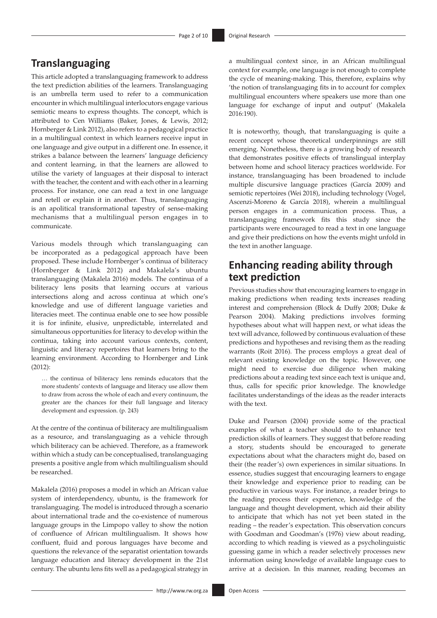# **Translanguaging**

This article adopted a translanguaging framework to address the text prediction abilities of the learners. Translanguaging is an umbrella term used to refer to a communication encounter in which multilingual interlocutors engage various semiotic means to express thoughts. The concept, which is attributed to Cen Williams (Baker, Jones, & Lewis, 2012; Hornberger & Link 2012), also refers to a pedagogical practice in a multilingual context in which learners receive input in one language and give output in a different one. In essence, it strikes a balance between the learners' language deficiency and content learning, in that the learners are allowed to utilise the variety of languages at their disposal to interact with the teacher, the content and with each other in a learning process. For instance, one can read a text in one language and retell or explain it in another. Thus, translanguaging is an apolitical transformational tapestry of sense-making mechanisms that a multilingual person engages in to communicate.

Various models through which translanguaging can be incorporated as a pedagogical approach have been proposed. These include Hornberger's continua of biliteracy (Hornberger & Link 2012) and Makalela's ubuntu translanguaging (Makalela 2016) models. The continua of a biliteracy lens posits that learning occurs at various intersections along and across continua at which one's knowledge and use of different language varieties and literacies meet. The continua enable one to see how possible it is for infinite, elusive, unpredictable, interrelated and simultaneous opportunities for literacy to develop within the continua, taking into account various contexts, content, linguistic and literacy repertoires that learners bring to the learning environment. According to Hornberger and Link (2012):

… the continua of biliteracy lens reminds educators that the more students' contexts of language and literacy use allow them to draw from across the whole of each and every continuum, the greater are the chances for their full language and literacy development and expression. (p. 243)

At the centre of the continua of biliteracy are multilingualism as a resource, and translanguaging as a vehicle through which biliteracy can be achieved. Therefore, as a framework within which a study can be conceptualised, translanguaging presents a positive angle from which multilingualism should be researched.

Makalela (2016) proposes a model in which an African value system of interdependency, ubuntu, is the framework for translanguaging. The model is introduced through a scenario about international trade and the co-existence of numerous language groups in the Limpopo valley to show the notion of confluence of African multilingualism. It shows how confluent, fluid and porous languages have become and questions the relevance of the separatist orientation towards language education and literacy development in the 21st century. The ubuntu lens fits well as a pedagogical strategy in

a multilingual context since, in an African multilingual context for example, one language is not enough to complete the cycle of meaning-making. This, therefore, explains why 'the notion of translanguaging fits in to account for complex multilingual encounters where speakers use more than one language for exchange of input and output' (Makalela 2016:190).

It is noteworthy, though, that translanguaging is quite a recent concept whose theoretical underpinnings are still emerging. Nonetheless, there is a growing body of research that demonstrates positive effects of translingual interplay between home and school literacy practices worldwide. For instance, translanguaging has been broadened to include multiple discursive language practices (García 2009) and semiotic repertoires (Wei 2018), including technology (Vogel, Ascenzi-Moreno & García 2018), wherein a multilingual person engages in a communication process. Thus, a translanguaging framework fits this study since the participants were encouraged to read a text in one language and give their predictions on how the events might unfold in the text in another language.

# **Enhancing reading ability through text prediction**

Previous studies show that encouraging learners to engage in making predictions when reading texts increases reading interest and comprehension (Block & Duffy 2008; Duke & Pearson 2004). Making predictions involves forming hypotheses about what will happen next, or what ideas the text will advance, followed by continuous evaluation of these predictions and hypotheses and revising them as the reading warrants (Roit 2016). The process employs a great deal of relevant existing knowledge on the topic. However, one might need to exercise due diligence when making predictions about a reading text since each text is unique and, thus, calls for specific prior knowledge. The knowledge facilitates understandings of the ideas as the reader interacts with the text.

Duke and Pearson (2004) provide some of the practical examples of what a teacher should do to enhance text prediction skills of learners. They suggest that before reading a story, students should be encouraged to generate expectations about what the characters might do, based on their (the reader's) own experiences in similar situations. In essence, studies suggest that encouraging learners to engage their knowledge and experience prior to reading can be productive in various ways. For instance, a reader brings to the reading process their experience, knowledge of the language and thought development, which aid their ability to anticipate that which has not yet been stated in the reading – the reader's expectation. This observation concurs with Goodman and Goodman's (1976) view about reading, according to which reading is viewed as a psycholinguistic guessing game in which a reader selectively processes new information using knowledge of available language cues to arrive at a decision. In this manner, reading becomes an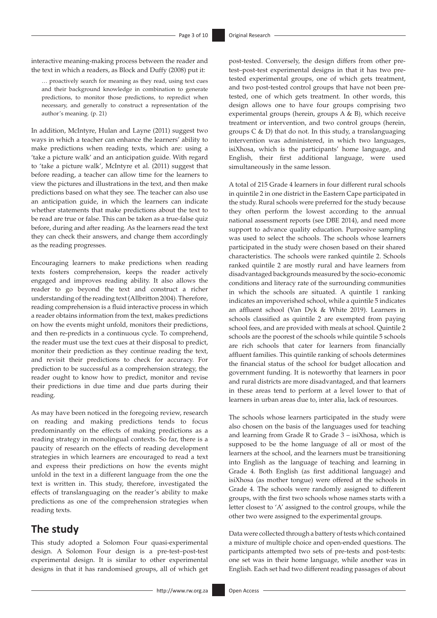interactive meaning-making process between the reader and the text in which a readers, as Block and Duffy (2008) put it:

… proactively search for meaning as they read, using text cues and their background knowledge in combination to generate predictions, to monitor those predictions, to repredict when necessary, and generally to construct a representation of the author's meaning. (p. 21)

In addition, McIntyre, Hulan and Layne (2011) suggest two ways in which a teacher can enhance the learners' ability to make predictions when reading texts, which are: using a 'take a picture walk' and an anticipation guide. With regard to 'take a picture walk', McIntyre et al. (2011) suggest that before reading, a teacher can allow time for the learners to view the pictures and illustrations in the text, and then make predictions based on what they see. The teacher can also use an anticipation guide, in which the learners can indicate whether statements that make predictions about the text to be read are true or false. This can be taken as a true-false quiz before, during and after reading. As the learners read the text they can check their answers, and change them accordingly as the reading progresses.

Encouraging learners to make predictions when reading texts fosters comprehension, keeps the reader actively engaged and improves reading ability. It also allows the reader to go beyond the text and construct a richer understanding of the reading text (Allbritton 2004). Therefore, reading comprehension is a fluid interactive process in which a reader obtains information from the text, makes predictions on how the events might unfold, monitors their predictions, and then re-predicts in a continuous cycle. To comprehend, the reader must use the text cues at their disposal to predict, monitor their prediction as they continue reading the text, and revisit their predictions to check for accuracy. For prediction to be successful as a comprehension strategy, the reader ought to know how to predict, monitor and revise their predictions in due time and due parts during their reading.

As may have been noticed in the foregoing review, research on reading and making predictions tends to focus predominantly on the effects of making predictions as a reading strategy in monolingual contexts. So far, there is a paucity of research on the effects of reading development strategies in which learners are encouraged to read a text and express their predictions on how the events might unfold in the text in a different language from the one the text is written in. This study, therefore, investigated the effects of translanguaging on the reader's ability to make predictions as one of the comprehension strategies when reading texts.

## **The study**

This study adopted a Solomon Four quasi-experimental design. A Solomon Four design is a pre-test–post-test experimental design. It is similar to other experimental designs in that it has randomised groups, all of which get post-tested. Conversely, the design differs from other pretest–post-test experimental designs in that it has two pretested experimental groups, one of which gets treatment, and two post-tested control groups that have not been pretested, one of which gets treatment. In other words, this design allows one to have four groups comprising two experimental groups (herein, groups A & B), which receive treatment or intervention, and two control groups (herein, groups C & D) that do not. In this study, a translanguaging intervention was administered, in which two languages, isiXhosa, which is the participants' home language, and English, their first additional language, were used simultaneously in the same lesson.

A total of 215 Grade 4 learners in four different rural schools in quintile 2 in one district in the Eastern Cape participated in the study. Rural schools were preferred for the study because they often perform the lowest according to the annual national assessment reports (see DBE 2014), and need more support to advance quality education. Purposive sampling was used to select the schools. The schools whose learners participated in the study were chosen based on their shared characteristics. The schools were ranked quintile 2. Schools ranked quintile 2 are mostly rural and have learners from disadvantaged backgrounds measured by the socio-economic conditions and literacy rate of the surrounding communities in which the schools are situated. A quintile 1 ranking indicates an impoverished school, while a quintile 5 indicates an affluent school (Van Dyk & White 2019). Learners in schools classified as quintile 2 are exempted from paying school fees, and are provided with meals at school. Quintile 2 schools are the poorest of the schools while quintile 5 schools are rich schools that cater for learners from financially affluent families. This quintile ranking of schools determines the financial status of the school for budget allocation and government funding. It is noteworthy that learners in poor and rural districts are more disadvantaged, and that learners in these areas tend to perform at a level lower to that of learners in urban areas due to, inter alia, lack of resources.

The schools whose learners participated in the study were also chosen on the basis of the languages used for teaching and learning from Grade R to Grade 3 – isiXhosa, which is supposed to be the home language of all or most of the learners at the school, and the learners must be transitioning into English as the language of teaching and learning in Grade 4. Both English (as first additional language) and isiXhosa (as mother tongue) were offered at the schools in Grade 4. The schools were randomly assigned to different groups, with the first two schools whose names starts with a letter closest to 'A' assigned to the control groups, while the other two were assigned to the experimental groups.

Data were collected through a battery of tests which contained a mixture of multiple choice and open-ended questions. The participants attempted two sets of pre-tests and post-tests: one set was in their home language, while another was in English. Each set had two different reading passages of about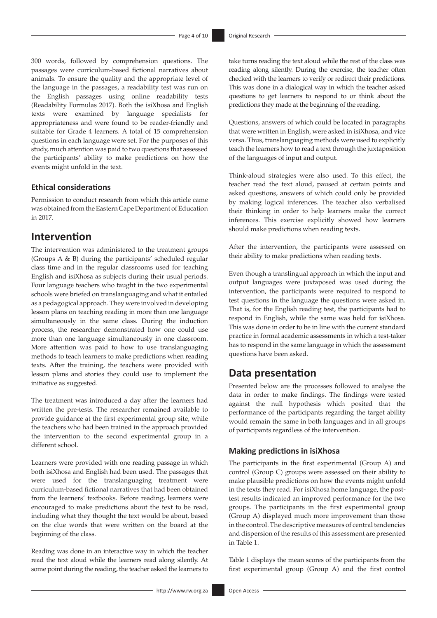300 words, followed by comprehension questions. The passages were curriculum-based fictional narratives about animals. To ensure the quality and the appropriate level of the language in the passages, a readability test was run on the English passages using online readability tests (Readability Formulas 2017). Both the isiXhosa and English texts were examined by language specialists for appropriateness and were found to be reader-friendly and suitable for Grade 4 learners. A total of 15 comprehension questions in each language were set. For the purposes of this study, much attention was paid to two questions that assessed the participants' ability to make predictions on how the events might unfold in the text.

#### **Ethical considerations**

Permission to conduct research from which this article came was obtained from the Eastern Cape Department of Education in 2017.

# **Intervention**

The intervention was administered to the treatment groups (Groups A & B) during the participants' scheduled regular class time and in the regular classrooms used for teaching English and isiXhosa as subjects during their usual periods. Four language teachers who taught in the two experimental schools were briefed on translanguaging and what it entailed as a pedagogical approach. They were involved in developing lesson plans on teaching reading in more than one language simultaneously in the same class. During the induction process, the researcher demonstrated how one could use more than one language simultaneously in one classroom. More attention was paid to how to use translanguaging methods to teach learners to make predictions when reading texts. After the training, the teachers were provided with lesson plans and stories they could use to implement the initiative as suggested.

The treatment was introduced a day after the learners had written the pre-tests. The researcher remained available to provide guidance at the first experimental group site, while the teachers who had been trained in the approach provided the intervention to the second experimental group in a different school.

Learners were provided with one reading passage in which both isiXhosa and English had been used. The passages that were used for the translanguaging treatment were curriculum-based fictional narratives that had been obtained from the learners' textbooks. Before reading, learners were encouraged to make predictions about the text to be read, including what they thought the text would be about, based on the clue words that were written on the board at the beginning of the class.

Reading was done in an interactive way in which the teacher read the text aloud while the learners read along silently. At some point during the reading, the teacher asked the learners to

take turns reading the text aloud while the rest of the class was reading along silently. During the exercise, the teacher often checked with the learners to verify or redirect their predictions. This was done in a dialogical way in which the teacher asked questions to get learners to respond to or think about the predictions they made at the beginning of the reading.

Questions, answers of which could be located in paragraphs that were written in English, were asked in isiXhosa, and vice versa. Thus, translanguaging methods were used to explicitly teach the learners how to read a text through the juxtaposition of the languages of input and output.

Think-aloud strategies were also used. To this effect, the teacher read the text aloud, paused at certain points and asked questions, answers of which could only be provided by making logical inferences. The teacher also verbalised their thinking in order to help learners make the correct inferences. This exercise explicitly showed how learners should make predictions when reading texts.

After the intervention, the participants were assessed on their ability to make predictions when reading texts.

Even though a translingual approach in which the input and output languages were juxtaposed was used during the intervention, the participants were required to respond to test questions in the language the questions were asked in. That is, for the English reading test, the participants had to respond in English, while the same was held for isiXhosa. This was done in order to be in line with the current standard practice in formal academic assessments in which a test-taker has to respond in the same language in which the assessment questions have been asked.

### **Data presentation**

Presented below are the processes followed to analyse the data in order to make findings. The findings were tested against the null hypothesis which posited that the performance of the participants regarding the target ability would remain the same in both languages and in all groups of participants regardless of the intervention.

#### **Making predictions in isiXhosa**

The participants in the first experimental (Group A) and control (Group C) groups were assessed on their ability to make plausible predictions on how the events might unfold in the texts they read. For isiXhosa home language, the posttest results indicated an improved performance for the two groups. The participants in the first experimental group (Group A) displayed much more improvement than those in the control. The descriptive measures of central tendencies and dispersion of the results of this assessment are presented in Table 1.

Table 1 displays the mean scores of the participants from the first experimental group (Group A) and the first control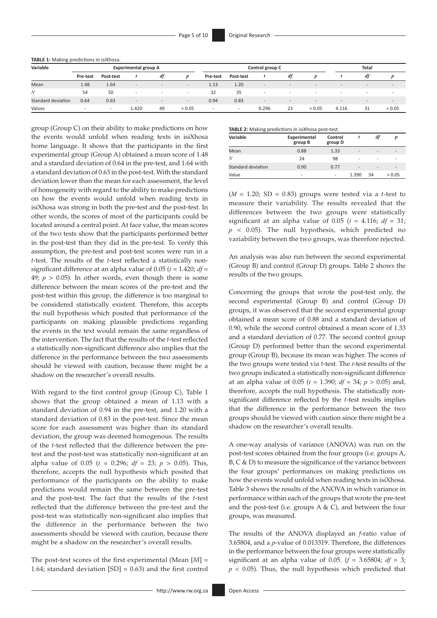| Variable           |          |                          | <b>Experimental group A</b> |                          | Control group C          |                          |           |                          | Total                    |                          |                          |                          |                          |
|--------------------|----------|--------------------------|-----------------------------|--------------------------|--------------------------|--------------------------|-----------|--------------------------|--------------------------|--------------------------|--------------------------|--------------------------|--------------------------|
|                    | Pre-test | Post-test                |                             | df                       | D                        | Pre-test                 | Post-test |                          | df                       |                          |                          | dt                       |                          |
| Mean               | 1.48     | 1.64                     | $\sim$                      | $\overline{\phantom{a}}$ | $\qquad \qquad -$        | 1.13                     | 1.20      | $\overline{\phantom{a}}$ | $\overline{\phantom{0}}$ | $\overline{\phantom{a}}$ | $\overline{\phantom{a}}$ | $\sim$                   | $\overline{\phantom{a}}$ |
| N                  | 54       | 50                       | $\overline{\phantom{a}}$    | $\overline{\phantom{a}}$ | $\sim$                   | 32                       | 35        | . .                      | $\overline{\phantom{a}}$ | $\overline{\phantom{a}}$ |                          | $\overline{\phantom{a}}$ | . .                      |
| Standard deviation | 0.64     | 0.63                     | $\sim$                      | $\overline{\phantom{a}}$ | $\overline{\phantom{a}}$ | 0.94                     | 0.83      | $\overline{\phantom{a}}$ | $\overline{\phantom{0}}$ | $\qquad \qquad -$        | $\overline{\phantom{a}}$ | $\sim$                   | $\qquad \qquad -$        |
| Values             |          | $\overline{\phantom{0}}$ | 1.420                       | 49                       | > 0.05                   | $\overline{\phantom{a}}$ | <b>.</b>  | 0.296                    | 23                       | > 0.05                   | 4.116                    | 31                       | ${}< 0.05$               |

group (Group C) on their ability to make predictions on how the events would unfold when reading texts in isiXhosa home language. It shows that the participants in the first experimental group (Group A) obtained a mean score of 1.48 and a standard deviation of 0.64 in the pre-test, and 1.64 with a standard deviation of 0.63 in the post-test. With the standard deviation lower than the mean for each assessment, the level of homogeneity with regard to the ability to make predictions on how the events would unfold when reading texts in isiXhosa was strong in both the pre-test and the post-test. In other words, the scores of most of the participants could be located around a central point. At face value, the mean scores of the two tests show that the participants performed better in the post-test than they did in the pre-test. To verify this assumption, the pre-test and post-test scores were run in a *t*-test. The results of the *t*-test reflected a statistically nonsignificant difference at an alpha value of 0.05 (*t* = 1.420; *df* = 49;  $p > 0.05$ ). In other words, even though there is some difference between the mean scores of the pre-test and the post-test within this group, the difference is too marginal to be considered statistically existent. Therefore, this accepts the null hypothesis which posited that performance of the participants on making plausible predictions regarding the events in the text would remain the same regardless of the intervention. The fact that the results of the *t*-test reflected a statistically non-significant difference also implies that the difference in the performance between the two assessments should be viewed with caution, because there might be a shadow on the researcher's overall results.

With regard to the first control group (Group C), Table 1 shows that the group obtained a mean of 1.13 with a standard deviation of 0.94 in the pre-test, and 1.20 with a standard deviation of 0.83 in the post-test. Since the mean score for each assessment was higher than its standard deviation, the group was deemed homogenous. The results of the *t*-test reflected that the difference between the pretest and the post-test was statistically non-significant at an alpha value of 0.05 ( $t = 0.296$ ;  $df = 23$ ;  $p > 0.05$ ). This, therefore, accepts the null hypothesis which posited that performance of the participants on the ability to make predictions would remain the same between the pre-test and the post-test. The fact that the results of the *t*-test reflected that the difference between the pre-test and the post-test was statistically non-significant also implies that the difference in the performance between the two assessments should be viewed with caution, because there might be a shadow on the researcher's overall results.

The post-test scores of the first experimental (Mean [*M*] = 1.64; standard deviation [SD] = 0.63) and the first control **TABLE 2:** Making predictions in isiXhosa post-test.

| Variable           | Experimental<br>group B  | Control<br>group D       |                          | df                       |        |
|--------------------|--------------------------|--------------------------|--------------------------|--------------------------|--------|
| Mean               | 0.88                     | 1.33                     | $\overline{\phantom{a}}$ | $\overline{\phantom{0}}$ | ۰      |
| N                  | 24                       | 98                       | ۰                        |                          |        |
| Standard deviation | 0.90                     | 0.77                     | $\overline{\phantom{a}}$ | $\overline{\phantom{0}}$ | ۰      |
| Value              | $\overline{\phantom{a}}$ | $\overline{\phantom{0}}$ | 1.390                    | 34                       | > 0.05 |

 $(M = 1.20; SD = 0.83)$  groups were tested via a *t*-test to measure their variability. The results revealed that the differences between the two groups were statistically significant at an alpha value of 0.05 ( $t = 4.116$ ;  $df = 31$ ;  $p \leq 0.05$ ). The null hypothesis, which predicted no variability between the two groups, was therefore rejected.

An analysis was also run between the second experimental (Group B) and control (Group D) groups. Table 2 shows the results of the two groups.

Concerning the groups that wrote the post-test only, the second experimental (Group B) and control (Group D) groups, it was observed that the second experimental group obtained a mean score of 0.88 and a standard deviation of 0.90, while the second control obtained a mean score of 1.33 and a standard deviation of 0.77. The second control group (Group D) performed better than the second experimental group (Group B), because its mean was higher. The scores of the two groups were tested via *t*-test. The *t*-test results of the two groups indicated a statistically non-significant difference at an alpha value of 0.05 (*t* = 1.390; *df* = 34; *p* > 0.05) and, therefore, accepts the null hypothesis. The statistically nonsignificant difference reflected by the *t*-test results implies that the difference in the performance between the two groups should be viewed with caution since there might be a shadow on the researcher's overall results.

A one-way analysis of variance (ANOVA) was run on the post-test scores obtained from the four groups (i.e. groups A, B, C & D) to measure the significance of the variance between the four groups' performances on making predictions on how the events would unfold when reading texts in isiXhosa. Table 3 shows the results of the ANOVA in which variance in performance within each of the groups that wrote the pre-test and the post-test (i.e. groups  $A & C$ ), and between the four groups, was measured.

The results of the ANOVA displayed an *f*-ratio value of 3.65804, and a *p*-value of 0.013319. Therefore, the differences in the performance between the four groups were statistically significant at an alpha value of 0.05.  $(f = 3.65804; df = 3;$  $p$  < 0.05). Thus, the null hypothesis which predicted that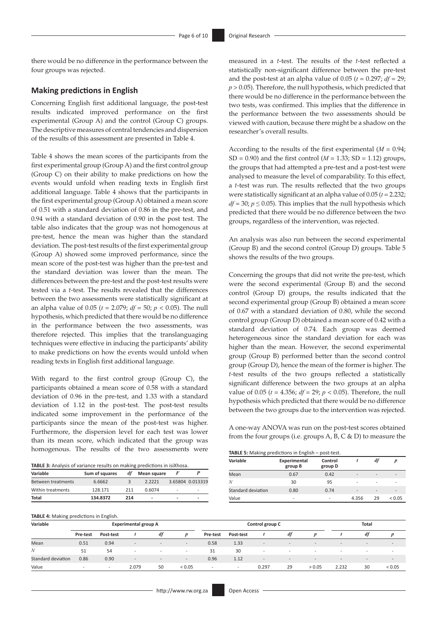there would be no difference in the performance between the four groups was rejected.

#### **Making predictions in English**

Concerning English first additional language, the post-test results indicated improved performance on the first experimental (Group A) and the control (Group C) groups. The descriptive measures of central tendencies and dispersion of the results of this assessment are presented in Table 4.

Table 4 shows the mean scores of the participants from the first experimental group (Group A) and the first control group (Group C) on their ability to make predictions on how the events would unfold when reading texts in English first additional language. Table 4 shows that the participants in the first experimental group (Group A) obtained a mean score of 0.51 with a standard deviation of 0.86 in the pre-test, and 0.94 with a standard deviation of 0.90 in the post test. The table also indicates that the group was not homogenous at pre-test, hence the mean was higher than the standard deviation. The post-test results of the first experimental group (Group A) showed some improved performance, since the mean score of the post-test was higher than the pre-test and the standard deviation was lower than the mean. The differences between the pre-test and the post-test results were tested via a *t*-test. The results revealed that the differences between the two assessments were statistically significant at an alpha value of 0.05 (*t* = 2.079; *df* = 50; *p* < 0.05). The null hypothesis, which predicted that there would be no difference in the performance between the two assessments, was therefore rejected. This implies that the translanguaging techniques were effective in inducing the participants' ability to make predictions on how the events would unfold when reading texts in English first additional language.

With regard to the first control group (Group C), the participants obtained a mean score of 0.58 with a standard deviation of 0.96 in the pre-test, and 1.33 with a standard deviation of 1.12 in the post-test. The post-test results indicated some improvement in the performance of the participants since the mean of the post-test was higher. Furthermore, the dispersion level for each test was lower than its mean score, which indicated that the group was homogenous. The results of the two assessments were

| Variable           | Sum of squares | df  | Mean square              |                          |                  |
|--------------------|----------------|-----|--------------------------|--------------------------|------------------|
| Between treatments | 6.6662         |     | 22221                    |                          | 3.65804 0.013319 |
| Within treatments  | 128 171        | 211 | 0.6074                   | $\qquad \qquad$          | ۰                |
| Total              | 134.8372       | 214 | $\overline{\phantom{0}}$ | $\overline{\phantom{a}}$ | -                |

measured in a *t*-test. The results of the *t*-test reflected a statistically non-significant difference between the pre-test and the post-test at an alpha value of  $0.05$  ( $t = 0.297$ ;  $df = 29$ ;  $p > 0.05$ ). Therefore, the null hypothesis, which predicted that there would be no difference in the performance between the two tests, was confirmed. This implies that the difference in the performance between the two assessments should be viewed with caution, because there might be a shadow on the researcher's overall results.

According to the results of the first experimental  $(M = 0.94)$ ;  $SD = 0.90$ ) and the first control ( $M = 1.33$ ;  $SD = 1.12$ ) groups, the groups that had attempted a pre-test and a post-test were analysed to measure the level of comparability. To this effect, a *t*-test was run. The results reflected that the two groups were statistically significant at an alpha value of 0.05 (*t* = 2.232;  $df = 30$ ;  $p \le 0.05$ ). This implies that the null hypothesis which predicted that there would be no difference between the two groups, regardless of the intervention, was rejected.

An analysis was also run between the second experimental (Group B) and the second control (Group D) groups. Table 5 shows the results of the two groups.

Concerning the groups that did not write the pre-test, which were the second experimental (Group B) and the second control (Group D) groups, the results indicated that the second experimental group (Group B) obtained a mean score of 0.67 with a standard deviation of 0.80, while the second control group (Group D) obtained a mean score of 0.42 with a standard deviation of 0.74. Each group was deemed heterogeneous since the standard deviation for each was higher than the mean. However, the second experimental group (Group B) performed better than the second control group (Group D), hence the mean of the former is higher. The *t*-test results of the two groups reflected a statistically significant difference between the two groups at an alpha value of 0.05 (*t* = 4.356; *df* = 29; *p* < 0.05). Therefore, the null hypothesis which predicted that there would be no difference between the two groups due to the intervention was rejected.

A one-way ANOVA was run on the post-test scores obtained from the four groups (i.e. groups A, B, C & D) to measure the

| <b>TABLE 5:</b> Making predictions in English - post-test. |  |  |  |
|------------------------------------------------------------|--|--|--|
|------------------------------------------------------------|--|--|--|

| $\sim$ $\cdot$     |                         |                    |                          |                          |                          |
|--------------------|-------------------------|--------------------|--------------------------|--------------------------|--------------------------|
| Variable           | Experimental<br>group B | Control<br>group D |                          | df                       |                          |
| Mean               | 0.67                    | 0.42               | $\overline{\phantom{a}}$ | $\overline{\phantom{a}}$ | $\overline{\phantom{a}}$ |
| N                  | 30                      | 95                 | ٠                        | ۰                        |                          |
| Standard deviation | 0.80                    | 0.74               | $\overline{a}$           | $\overline{\phantom{a}}$ | $\overline{\phantom{a}}$ |
| Value              |                         |                    | 4.356                    | 29                       | ${}_{0.05}$              |

|                    | <b>TABLE 4:</b> Making predictions in English. |                          |                          |                          |                          |                          |                          |                          |                          |                   |                          |                          |             |  |
|--------------------|------------------------------------------------|--------------------------|--------------------------|--------------------------|--------------------------|--------------------------|--------------------------|--------------------------|--------------------------|-------------------|--------------------------|--------------------------|-------------|--|
| Variable           | <b>Experimental group A</b>                    |                          |                          |                          |                          |                          | Control group C          |                          |                          |                   |                          | <b>Total</b>             |             |  |
|                    | Pre-test                                       | Post-test                |                          | df                       | $\boldsymbol{D}$         | Pre-test                 | Post-test                |                          | df                       |                   |                          | df                       |             |  |
| Mean               | 0.51                                           | 0.94                     | $\sim$                   | $\overline{\phantom{a}}$ | $\sim$                   | 0.58                     | 1.33                     | $\overline{\phantom{a}}$ | $\overline{\phantom{a}}$ | $\qquad \qquad -$ | $\overline{\phantom{a}}$ | $\qquad \qquad -$        | $\sim$      |  |
| N                  | 51                                             | 54                       | $\overline{\phantom{0}}$ |                          | $\overline{\phantom{a}}$ | 31                       | 30                       | $\overline{\phantom{a}}$ |                          |                   |                          | $\overline{\phantom{a}}$ | <b>.</b>    |  |
| Standard deviation | 0.86                                           | 0.90                     | $\sim$                   | $\overline{\phantom{a}}$ | $-$                      | 0.96                     | 1.12                     | $\overline{\phantom{a}}$ | $-$                      | $\qquad \qquad -$ | $\qquad \qquad -$        | $\qquad \qquad -$        | $\sim$      |  |
| Value              | $\overline{\phantom{0}}$                       | $\overline{\phantom{a}}$ | 2.079                    | 50                       | < 0.05                   | $\overline{\phantom{0}}$ | $\overline{\phantom{a}}$ | 0.297                    | 29                       | > 0.05            | 2.232                    | 30                       | ${}_{0.05}$ |  |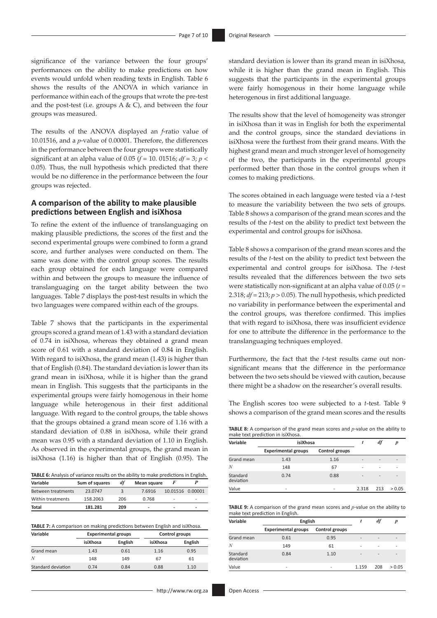significance of the variance between the four groups' performances on the ability to make predictions on how events would unfold when reading texts in English. Table 6 shows the results of the ANOVA in which variance in performance within each of the groups that wrote the pre-test and the post-test (i.e. groups  $A & C$ ), and between the four groups was measured.

The results of the ANOVA displayed an *f*-ratio value of 10.01516, and a *p*-value of 0.00001. Therefore, the differences in the performance between the four groups were statistically significant at an alpha value of 0.05 ( $f = 10$ , 01516;  $df = 3$ ;  $p <$ 0.05). Thus, the null hypothesis which predicted that there would be no difference in the performance between the four groups was rejected.

#### **A comparison of the ability to make plausible predictions between English and isiXhosa**

To refine the extent of the influence of translanguaging on making plausible predictions, the scores of the first and the second experimental groups were combined to form a grand score, and further analyses were conducted on them. The same was done with the control group scores. The results each group obtained for each language were compared within and between the groups to measure the influence of translanguaging on the target ability between the two languages. Table 7 displays the post-test results in which the two languages were compared within each of the groups.

Table 7 shows that the participants in the experimental groups scored a grand mean of 1.43 with a standard deviation of 0.74 in isiXhosa, whereas they obtained a grand mean score of 0.61 with a standard deviation of 0.84 in English. With regard to isiXhosa, the grand mean (1.43) is higher than that of English (0.84). The standard deviation is lower than its grand mean in isiXhosa, while it is higher than the grand mean in English. This suggests that the participants in the experimental groups were fairly homogenous in their home language while heterogenous in their first additional language. With regard to the control groups, the table shows that the groups obtained a grand mean score of 1.16 with a standard deviation of 0.88 in isiXhosa, while their grand mean was 0.95 with a standard deviation of 1.10 in English. As observed in the experimental groups, the grand mean in isiXhosa (1.16) is higher than that of English (0.95). The

| <b>TABLE 6:</b> Analysis of variance results on the ability to make predictions in English. |                |     |                          |                          |  |  |  |  |  |
|---------------------------------------------------------------------------------------------|----------------|-----|--------------------------|--------------------------|--|--|--|--|--|
| Variable                                                                                    | Sum of squares | df  | <b>Mean square</b>       |                          |  |  |  |  |  |
| <b>Between treatments</b>                                                                   | 23.0747        |     | 7.6916                   | 10.01516 0.00001         |  |  |  |  |  |
| Within treatments                                                                           | 158,2063       | 206 | 0.768                    | -                        |  |  |  |  |  |
| Total                                                                                       | 181.281        | 209 | $\overline{\phantom{0}}$ | $\overline{\phantom{a}}$ |  |  |  |  |  |

|  | <b>TABLE 7:</b> A comparison on making predictions between English and isiXhosa. |  |
|--|----------------------------------------------------------------------------------|--|
|  |                                                                                  |  |

| Variable           | <b>Experimental groups</b> |         | Control groups |         |  |
|--------------------|----------------------------|---------|----------------|---------|--|
|                    | isiXhosa                   | English | isiXhosa       | English |  |
| Grand mean         | 1.43                       | 0.61    | 1.16           | 0.95    |  |
| N                  | 148                        | 149     | 67             | 61      |  |
| Standard deviation | 0.74                       | 0.84    | 0.88           | 1.10    |  |

standard deviation is lower than its grand mean in isiXhosa, while it is higher than the grand mean in English. This suggests that the participants in the experimental groups were fairly homogenous in their home language while heterogenous in first additional language.

The results show that the level of homogeneity was stronger in isiXhosa than it was in English for both the experimental and the control groups, since the standard deviations in isiXhosa were the furthest from their grand means. With the highest grand mean and much stronger level of homogeneity of the two, the participants in the experimental groups performed better than those in the control groups when it comes to making predictions.

The scores obtained in each language were tested via a *t*-test to measure the variability between the two sets of groups. Table 8 shows a comparison of the grand mean scores and the results of the *t*-test on the ability to predict text between the experimental and control groups for isiXhosa.

Table 8 shows a comparison of the grand mean scores and the results of the *t*-test on the ability to predict text between the experimental and control groups for isiXhosa. The *t*-test results revealed that the differences between the two sets were statistically non-significant at an alpha value of 0.05 (*t* = 2.318;  $df = 213$ ;  $p > 0.05$ ). The null hypothesis, which predicted no variability in performance between the experimental and the control groups, was therefore confirmed. This implies that with regard to isiXhosa, there was insufficient evidence for one to attribute the difference in the performance to the translanguaging techniques employed.

Furthermore, the fact that the *t*-test results came out nonsignificant means that the difference in the performance between the two sets should be viewed with caution, because there might be a shadow on the researcher's overall results.

The English scores too were subjected to a *t*-test. Table 9 shows a comparison of the grand mean scores and the results

**TABLE 8:** A comparison of the grand mean scores and *p*-value on the ability to make text prediction in isiXhosa.

| Variable              | isiXhosa                   |                          | df                       |                          |        |
|-----------------------|----------------------------|--------------------------|--------------------------|--------------------------|--------|
|                       | <b>Experimental groups</b> | Control groups           |                          |                          |        |
| Grand mean            | 1.43                       | 1.16                     | $\overline{\phantom{0}}$ |                          |        |
| N                     | 148                        | 67                       | ۰                        |                          |        |
| Standard<br>deviation | 0.74                       | 0.88                     | $\overline{\phantom{0}}$ | $\overline{\phantom{0}}$ |        |
| Value                 | $\overline{\phantom{a}}$   | $\overline{\phantom{0}}$ | 2.318                    | 213                      | > 0.05 |

**TABLE 9:** A comparison of the grand mean scores and *p*-value on the ability to make text prediction in English.

| Variable              | English                    |                          | aı                           |                          |        |
|-----------------------|----------------------------|--------------------------|------------------------------|--------------------------|--------|
|                       | <b>Experimental groups</b> | Control groups           |                              |                          |        |
| Grand mean            | 0.61                       | 0.95                     | -                            | -                        |        |
| N                     | 149                        | 61                       | -                            | $\overline{a}$           |        |
| Standard<br>deviation | 0.84                       | 1.10                     | $\qquad \qquad \blacksquare$ | $\overline{\phantom{a}}$ |        |
| Value                 | $\overline{\phantom{0}}$   | $\overline{\phantom{0}}$ | 1.159                        | 208                      | > 0.05 |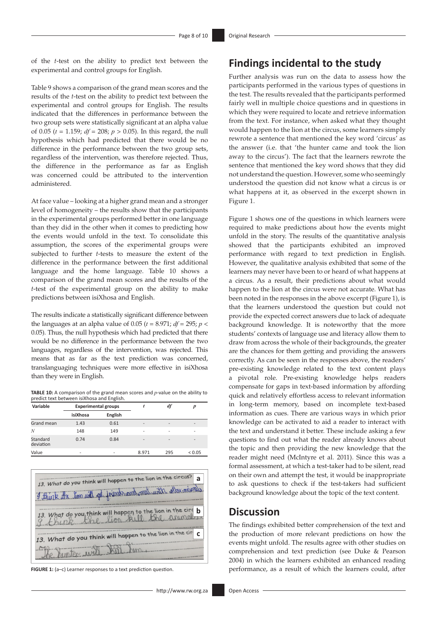of the *t*-test on the ability to predict text between the experimental and control groups for English.

Table 9 shows a comparison of the grand mean scores and the results of the *t*-test on the ability to predict text between the experimental and control groups for English. The results indicated that the differences in performance between the two group sets were statistically significant at an alpha value of 0.05 (*t* = 1.159; *df* = 208; *p* > 0.05). In this regard, the null hypothesis which had predicted that there would be no difference in the performance between the two group sets, regardless of the intervention, was therefore rejected. Thus, the difference in the performance as far as English was concerned could be attributed to the intervention administered.

At face value – looking at a higher grand mean and a stronger level of homogeneity – the results show that the participants in the experimental groups performed better in one language than they did in the other when it comes to predicting how the events would unfold in the text. To consolidate this assumption, the scores of the experimental groups were subjected to further *t*-tests to measure the extent of the difference in the performance between the first additional language and the home language. Table 10 shows a comparison of the grand mean scores and the results of the *t*-test of the experimental group on the ability to make predictions between isiXhosa and English.

The results indicate a statistically significant difference between the languages at an alpha value of 0.05 ( $t = 8.971$ ;  $df = 295$ ;  $p <$ 0.05). Thus, the null hypothesis which had predicted that there would be no difference in the performance between the two languages, regardless of the intervention, was rejected. This means that as far as the text prediction was concerned, translanguaging techniques were more effective in isiXhosa than they were in English.

**TABLE 10:** A comparison of the grand mean scores and *p*-value on the ability to predict text between isiXhosa and English.

| Variable              | <b>Experimental groups</b> |         |                          | df                       |                          |
|-----------------------|----------------------------|---------|--------------------------|--------------------------|--------------------------|
|                       | isiXhosa                   | English |                          |                          |                          |
| Grand mean            | 1.43                       | 0.61    | -                        | $\overline{\phantom{a}}$ |                          |
| N                     | 148                        | 149     | -                        | -                        |                          |
| Standard<br>deviation | 0.74                       | 0.84    | $\overline{\phantom{0}}$ | $\overline{\phantom{a}}$ | $\overline{\phantom{0}}$ |
| Value                 | ۰                          |         | 8.971                    | 295                      | ${}_{0.05}$              |



**FIGURE 1:** (a–c) Learner responses to a text prediction question.

rewrote a sentence that mentioned the key word 'circus' as the answer (i.e. that 'the hunter came and took the lion away to the circus'). The fact that the learners rewrote the sentence that mentioned the key word shows that they did not understand the question. However, some who seemingly understood the question did not know what a circus is or what happens at it, as observed in the excerpt shown in Figure 1.

**Findings incidental to the study**

Further analysis was run on the data to assess how the participants performed in the various types of questions in the test. The results revealed that the participants performed fairly well in multiple choice questions and in questions in which they were required to locate and retrieve information from the text. For instance, when asked what they thought would happen to the lion at the circus, some learners simply

Figure 1 shows one of the questions in which learners were required to make predictions about how the events might unfold in the story. The results of the quantitative analysis showed that the participants exhibited an improved performance with regard to text prediction in English. However, the qualitative analysis exhibited that some of the learners may never have been to or heard of what happens at a circus. As a result, their predictions about what would happen to the lion at the circus were not accurate. What has been noted in the responses in the above excerpt (Figure 1), is that the learners understood the question but could not provide the expected correct answers due to lack of adequate background knowledge. It is noteworthy that the more students' contexts of language use and literacy allow them to draw from across the whole of their backgrounds, the greater are the chances for them getting and providing the answers correctly. As can be seen in the responses above, the readers' pre-existing knowledge related to the text content plays a pivotal role. Pre-existing knowledge helps readers compensate for gaps in text-based information by affording quick and relatively effortless access to relevant information in long-term memory, based on incomplete text-based information as cues. There are various ways in which prior knowledge can be activated to aid a reader to interact with the text and understand it better. These include asking a few questions to find out what the reader already knows about the topic and then providing the new knowledge that the reader might need (McIntyre et al. 2011). Since this was a formal assessment, at which a test-taker had to be silent, read on their own and attempt the test, it would be inappropriate to ask questions to check if the test-takers had sufficient background knowledge about the topic of the text content.

### **Discussion**

The findings exhibited better comprehension of the text and the production of more relevant predictions on how the events might unfold. The results agree with other studies on comprehension and text prediction (see Duke & Pearson 2004) in which the learners exhibited an enhanced reading performance, as a result of which the learners could, after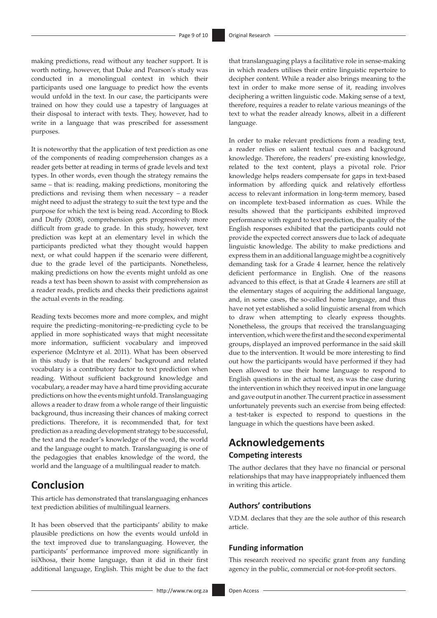making predictions, read without any teacher support. It is worth noting, however, that Duke and Pearson's study was conducted in a monolingual context in which their participants used one language to predict how the events would unfold in the text. In our case, the participants were trained on how they could use a tapestry of languages at their disposal to interact with texts. They, however, had to write in a language that was prescribed for assessment purposes.

It is noteworthy that the application of text prediction as one of the components of reading comprehension changes as a reader gets better at reading in terms of grade levels and text types. In other words, even though the strategy remains the same – that is: reading, making predictions, monitoring the predictions and revising them when necessary – a reader might need to adjust the strategy to suit the text type and the purpose for which the text is being read. According to Block and Duffy (2008), comprehension gets progressively more difficult from grade to grade. In this study, however, text prediction was kept at an elementary level in which the participants predicted what they thought would happen next, or what could happen if the scenario were different, due to the grade level of the participants. Nonetheless, making predictions on how the events might unfold as one reads a text has been shown to assist with comprehension as a reader reads, predicts and checks their predictions against the actual events in the reading.

Reading texts becomes more and more complex, and might require the predicting–monitoring–re-predicting cycle to be applied in more sophisticated ways that might necessitate more information, sufficient vocabulary and improved experience (McIntyre et al. 2011). What has been observed in this study is that the readers' background and related vocabulary is a contributory factor to text prediction when reading. Without sufficient background knowledge and vocabulary, a reader may have a hard time providing accurate predictions on how the events might unfold. Translanguaging allows a reader to draw from a whole range of their linguistic background, thus increasing their chances of making correct predictions. Therefore, it is recommended that, for text prediction as a reading development strategy to be successful, the text and the reader's knowledge of the word, the world and the language ought to match. Translanguaging is one of the pedagogies that enables knowledge of the word, the world and the language of a multilingual reader to match.

# **Conclusion**

This article has demonstrated that translanguaging enhances text prediction abilities of multilingual learners.

It has been observed that the participants' ability to make plausible predictions on how the events would unfold in the text improved due to translanguaging. However, the participants' performance improved more significantly in isiXhosa, their home language, than it did in their first additional language, English. This might be due to the fact

that translanguaging plays a facilitative role in sense-making in which readers utilises their entire linguistic repertoire to decipher content. While a reader also brings meaning to the text in order to make more sense of it, reading involves deciphering a written linguistic code. Making sense of a text, therefore, requires a reader to relate various meanings of the text to what the reader already knows, albeit in a different language.

In order to make relevant predictions from a reading text, a reader relies on salient textual cues and background knowledge. Therefore, the readers' pre-existing knowledge, related to the text content, plays a pivotal role. Prior knowledge helps readers compensate for gaps in text-based information by affording quick and relatively effortless access to relevant information in long-term memory, based on incomplete text-based information as cues. While the results showed that the participants exhibited improved performance with regard to text prediction, the quality of the English responses exhibited that the participants could not provide the expected correct answers due to lack of adequate linguistic knowledge. The ability to make predictions and express them in an additional language might be a cognitively demanding task for a Grade 4 learner, hence the relatively deficient performance in English. One of the reasons advanced to this effect, is that at Grade 4 learners are still at the elementary stages of acquiring the additional language, and, in some cases, the so-called home language, and thus have not yet established a solid linguistic arsenal from which to draw when attempting to clearly express thoughts. Nonetheless, the groups that received the translanguaging intervention, which were the first and the second experimental groups, displayed an improved performance in the said skill due to the intervention. It would be more interesting to find out how the participants would have performed if they had been allowed to use their home language to respond to English questions in the actual test, as was the case during the intervention in which they received input in one language and gave output in another. The current practice in assessment unfortunately prevents such an exercise from being effected: a test-taker is expected to respond to questions in the language in which the questions have been asked.

# **Acknowledgements Competing interests**

The author declares that they have no financial or personal relationships that may have inappropriately influenced them in writing this article.

#### **Authors' contributions**

V.D.M. declares that they are the sole author of this research article.

#### **Funding information**

This research received no specific grant from any funding agency in the public, commercial or not-for-profit sectors.